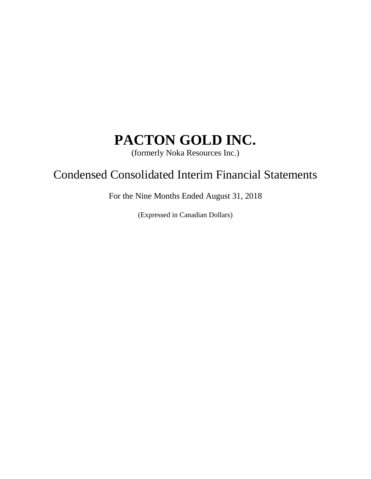(formerly Noka Resources Inc.)

## Condensed Consolidated Interim Financial Statements

For the Nine Months Ended August 31, 2018

(Expressed in Canadian Dollars)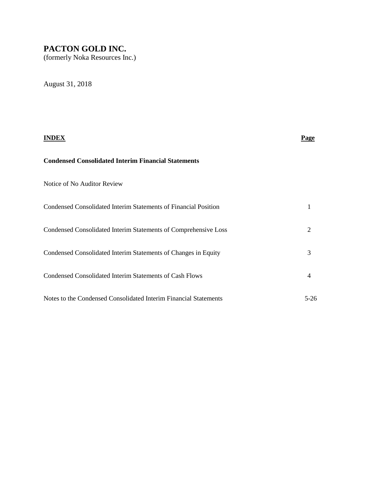(formerly Noka Resources Inc.)

August 31, 2018

|                                                                  | Page           |
|------------------------------------------------------------------|----------------|
| <b>Condensed Consolidated Interim Financial Statements</b>       |                |
| Notice of No Auditor Review                                      |                |
| Condensed Consolidated Interim Statements of Financial Position  | 1              |
| Condensed Consolidated Interim Statements of Comprehensive Loss  | $\overline{2}$ |
| Condensed Consolidated Interim Statements of Changes in Equity   | 3              |
| <b>Condensed Consolidated Interim Statements of Cash Flows</b>   | $\overline{4}$ |
| Notes to the Condensed Consolidated Interim Financial Statements | $5-26$         |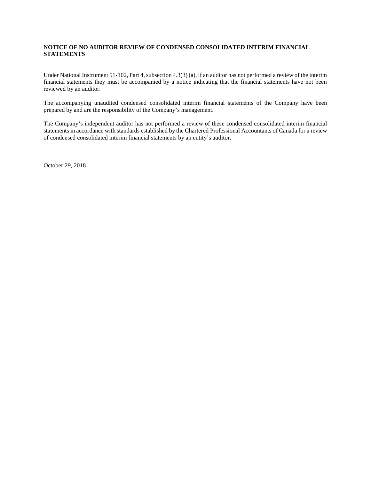#### **NOTICE OF NO AUDITOR REVIEW OF CONDENSED CONSOLIDATED INTERIM FINANCIAL STATEMENTS**

Under National Instrument 51-102, Part 4, subsection 4.3(3) (a), if an auditor has not performed a review of the interim financial statements they must be accompanied by a notice indicating that the financial statements have not been reviewed by an auditor.

The accompanying unaudited condensed consolidated interim financial statements of the Company have been prepared by and are the responsibility of the Company's management.

The Company's independent auditor has not performed a review of these condensed consolidated interim financial statements in accordance with standards established by the Chartered Professional Accountants of Canada for a review of condensed consolidated interim financial statements by an entity's auditor.

October 29, 2018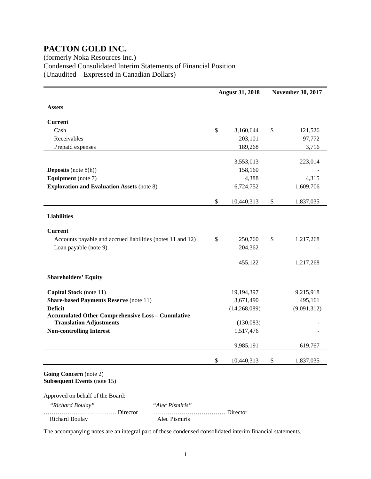### (formerly Noka Resources Inc.) Condensed Consolidated Interim Statements of Financial Position (Unaudited – Expressed in Canadian Dollars)

|                                                            | <b>August 31, 2018</b> |              | <b>November 30, 2017</b> |
|------------------------------------------------------------|------------------------|--------------|--------------------------|
| <b>Assets</b>                                              |                        |              |                          |
|                                                            |                        |              |                          |
| Current                                                    |                        |              |                          |
| Cash                                                       | \$                     | 3,160,644    | \$<br>121,526            |
| Receivables                                                |                        | 203,101      | 97,772                   |
| Prepaid expenses                                           |                        | 189,268      | 3,716                    |
|                                                            |                        |              |                          |
|                                                            |                        | 3,553,013    | 223,014                  |
| <b>Deposits</b> (note $8(h)$ )                             |                        | 158,160      |                          |
| <b>Equipment</b> (note 7)                                  |                        | 4,388        | 4,315                    |
| <b>Exploration and Evaluation Assets (note 8)</b>          |                        | 6,724,752    | 1,609,706                |
|                                                            | \$                     | 10,440,313   | \$<br>1,837,035          |
|                                                            |                        |              |                          |
| <b>Liabilities</b>                                         |                        |              |                          |
| <b>Current</b>                                             |                        |              |                          |
| Accounts payable and accrued liabilities (notes 11 and 12) | \$                     | 250,760      | \$<br>1,217,268          |
| Loan payable (note 9)                                      |                        | 204,362      |                          |
|                                                            |                        |              |                          |
|                                                            |                        | 455,122      | 1,217,268                |
| <b>Shareholders' Equity</b>                                |                        |              |                          |
| Capital Stock (note 11)                                    |                        | 19,194,397   | 9,215,918                |
| <b>Share-based Payments Reserve (note 11)</b>              |                        | 3,671,490    | 495,161                  |
| <b>Deficit</b>                                             |                        | (14,268,089) | (9,091,312)              |
| <b>Accumulated Other Comprehensive Loss - Cumulative</b>   |                        |              |                          |
| <b>Translation Adjustments</b>                             |                        | (130,083)    |                          |
| <b>Non-controlling Interest</b>                            |                        | 1,517,476    |                          |
|                                                            |                        | 9,985,191    | 619,767                  |
|                                                            |                        |              |                          |
|                                                            | \$                     | 10,440,313   | \$<br>1,837,035          |
| Going Concern (note 2)                                     |                        |              |                          |
| <b>Subsequent Events (note 15)</b>                         |                        |              |                          |
| Approved on behalf of the Board:                           |                        |              |                          |

 *"Richard Boulay" "Alec Pismiris"*

Richard Boulay

……………………………… Director ……………………………… Director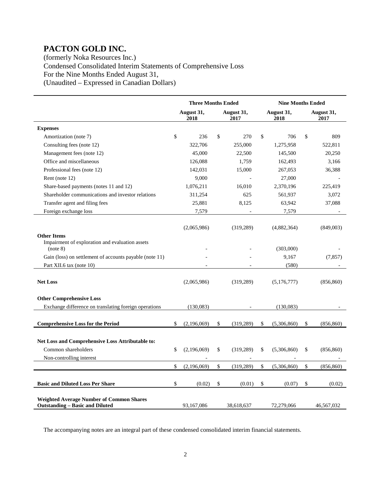(formerly Noka Resources Inc.) Condensed Consolidated Interim Statements of Comprehensive Loss For the Nine Months Ended August 31, (Unaudited – Expressed in Canadian Dollars)

|                                                                                                            | <b>Three Months Ended</b> |                    |    | <b>Nine Months Ended</b> |               |                    |    |                    |
|------------------------------------------------------------------------------------------------------------|---------------------------|--------------------|----|--------------------------|---------------|--------------------|----|--------------------|
|                                                                                                            |                           | August 31,<br>2018 |    | August 31,<br>2017       |               | August 31,<br>2018 |    | August 31,<br>2017 |
| <b>Expenses</b>                                                                                            |                           |                    |    |                          |               |                    |    |                    |
| Amortization (note 7)                                                                                      | \$                        | 236                | \$ | 270                      | \$            | 706                | \$ | 809                |
| Consulting fees (note 12)                                                                                  |                           | 322,706            |    | 255,000                  |               | 1,275,958          |    | 522,811            |
| Management fees (note 12)                                                                                  |                           | 45,000             |    | 22,500                   |               | 145,500            |    | 20,250             |
| Office and miscellaneous                                                                                   |                           | 126,088            |    | 1,759                    |               | 162,493            |    | 3,166              |
| Professional fees (note 12)                                                                                |                           | 142,031            |    | 15,000                   |               | 267,053            |    | 36,388             |
| Rent (note 12)                                                                                             |                           | 9,000              |    |                          |               | 27,000             |    |                    |
| Share-based payments (notes 11 and 12)                                                                     |                           | 1,076,211          |    | 16,010                   |               | 2,370,196          |    | 225,419            |
| Shareholder communications and investor relations                                                          |                           | 311,254            |    | 625                      |               | 561,937            |    | 3,072              |
| Transfer agent and filing fees                                                                             |                           | 25,881             |    | 8,125                    |               | 63,942             |    | 37,088             |
| Foreign exchange loss                                                                                      |                           | 7,579              |    |                          |               | 7,579              |    |                    |
| <b>Other Items</b>                                                                                         |                           | (2,065,986)        |    | (319, 289)               |               | (4,882,364)        |    | (849,003)          |
| Impairment of exploration and evaluation assets<br>(note 8)                                                |                           |                    |    |                          |               | (303,000)          |    |                    |
| Gain (loss) on settlement of accounts payable (note 11)                                                    |                           |                    |    |                          |               | 9,167              |    | (7, 857)           |
| Part XII.6 tax (note 10)                                                                                   |                           |                    |    |                          |               | (580)              |    |                    |
| <b>Net Loss</b><br><b>Other Comprehensive Loss</b>                                                         |                           | (2,065,986)        |    | (319, 289)               |               | (5,176,777)        |    | (856, 860)         |
| Exchange difference on translating foreign operations                                                      |                           | (130,083)          |    |                          |               | (130,083)          |    |                    |
|                                                                                                            |                           |                    |    |                          |               |                    |    |                    |
| <b>Comprehensive Loss for the Period</b>                                                                   | \$                        | (2,196,069)        | \$ | (319, 289)               | \$            | (5,306,860)        | \$ | (856, 860)         |
| <b>Net Loss and Comprehensive Loss Attributable to:</b><br>Common shareholders<br>Non-controlling interest | \$                        | (2,196,069)        | \$ | (319, 289)               | \$            | (5,306,860)        | \$ | (856, 860)         |
|                                                                                                            | \$                        | (2,196,069)        | \$ | (319, 289)               | $\mathsf{\$}$ | (5,306,860)        | \$ | (856, 860)         |
| <b>Basic and Diluted Loss Per Share</b>                                                                    | \$                        | (0.02)             | \$ | (0.01)                   | \$            | (0.07)             | \$ | (0.02)             |
| <b>Weighted Average Number of Common Shares</b><br><b>Outstanding – Basic and Diluted</b>                  |                           | 93,167,086         |    | 38,618,637               |               | 72,279,066         |    | 46,567,032         |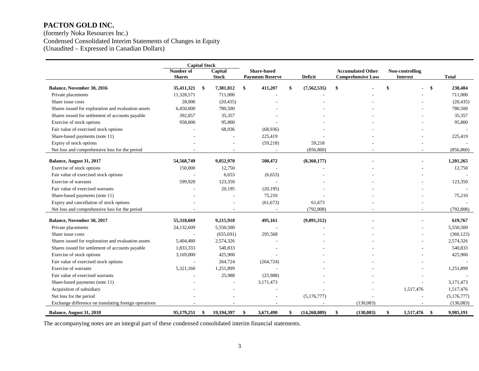(formerly Noka Resources Inc.) Condensed Consolidated Interim Statements of Changes in Equity (Unaudited – Expressed in Canadian Dollars)

|                                                       | <b>Capital Stock</b>       |    |                         |    |                                               |    |                |                                                       |    |                                    |      |              |
|-------------------------------------------------------|----------------------------|----|-------------------------|----|-----------------------------------------------|----|----------------|-------------------------------------------------------|----|------------------------------------|------|--------------|
|                                                       | Number of<br><b>Shares</b> |    | Capital<br><b>Stock</b> |    | <b>Share-based</b><br><b>Payments Reserve</b> |    | <b>Deficit</b> | <b>Accumulated Other</b><br><b>Comprehensive Loss</b> |    | Non-controlling<br><b>Interest</b> |      | <b>Total</b> |
| Balance, November 30, 2016                            | 35,411,321                 | S, | 7,381,812               | \$ | 411,207                                       |    | (7, 562, 535)  | \$                                                    | \$ |                                    | \$   | 230,484      |
| Private placements                                    | 11,328,571                 |    | 711,000                 |    |                                               |    |                |                                                       |    |                                    |      | 711,000      |
| Share issue costs                                     | 28,000                     |    | (20, 435)               |    |                                               |    |                |                                                       |    |                                    |      | (20, 435)    |
| Shares issued for exploration and evaluation assets   | 6,450,000                  |    | 780,500                 |    |                                               |    |                |                                                       |    |                                    |      | 780,500      |
| Shares issued for settlement of accounts payable      | 392,857                    |    | 35,357                  |    |                                               |    |                |                                                       |    |                                    |      | 35,357       |
| Exercise of stock options                             | 958,000                    |    | 95,800                  |    |                                               |    |                |                                                       |    |                                    |      | 95,800       |
| Fair value of exercised stock options                 |                            |    | 68,936                  |    | (68,936)                                      |    |                |                                                       |    |                                    |      |              |
| Share-based payments (note 11)                        |                            |    |                         |    | 225,419                                       |    |                |                                                       |    |                                    |      | 225,419      |
| Expiry of stock options                               |                            |    |                         |    | (59,218)                                      |    | 59,218         |                                                       |    |                                    |      |              |
| Net loss and comprehensive loss for the period        |                            |    |                         |    |                                               |    | (856, 860)     |                                                       |    |                                    |      | (856, 860)   |
| Balance, August 31, 2017                              | 54,568,749                 |    | 9,052,970               |    | 508,472                                       |    | (8,360,177)    |                                                       |    |                                    |      | 1,201,265    |
| Exercise of stock options                             | 150,000                    |    | 12,750                  |    |                                               |    |                |                                                       |    |                                    |      | 12,750       |
| Fair value of exercised stock options                 |                            |    | 6,653                   |    | (6,653)                                       |    |                |                                                       |    |                                    |      |              |
| <b>Exercise of warrants</b>                           | 599,920                    |    | 123,350                 |    |                                               |    |                |                                                       |    |                                    |      | 123,350      |
| Fair value of exercised warrants                      |                            |    | 20,195                  |    | (20, 195)                                     |    |                |                                                       |    |                                    |      |              |
| Share-based payments (note 11)                        |                            |    |                         |    | 75,210                                        |    |                |                                                       |    |                                    |      | 75,210       |
| Expiry and cancellation of stock options              |                            |    |                         |    | (61, 673)                                     |    | 61,673         |                                                       |    |                                    |      |              |
| Net loss and comprehensive loss for the period        |                            |    |                         |    |                                               |    | (792, 808)     |                                                       |    |                                    |      | (792, 808)   |
|                                                       |                            |    |                         |    |                                               |    |                |                                                       |    |                                    |      |              |
| Balance, November 30, 2017                            | 55,318,669                 |    | 9,215,918               |    | 495,161                                       |    | (9,091,312)    |                                                       |    |                                    |      | 619,767      |
| Private placements                                    | 24,132,609                 |    | 5,550,500               |    |                                               |    |                |                                                       |    |                                    |      | 5,550,500    |
| Share issue costs                                     |                            |    | (655, 691)              |    | 295,568                                       |    |                |                                                       |    |                                    |      | (360, 123)   |
| Shares issued for exploration and evaluation assets   | 5,404,480                  |    | 2,574,326               |    |                                               |    |                |                                                       |    |                                    |      | 2,574,326    |
| Shares issued for settlement of accounts payable      | 1,833,333                  |    | 540,833                 |    |                                               |    |                |                                                       |    |                                    |      | 540,833      |
| Exercise of stock options                             | 3,169,000                  |    | 425,900                 |    |                                               |    |                |                                                       |    |                                    |      | 425,900      |
| Fair value of exercised stock options                 |                            |    | 264,724                 |    | (264, 724)                                    |    |                |                                                       |    |                                    |      |              |
| Exercise of warrants                                  | 5,321,160                  |    | 1,251,899               |    |                                               |    |                |                                                       |    |                                    |      | 1,251,899    |
| Fair value of exercised warrants                      |                            |    | 25,988                  |    | (25,988)                                      |    |                |                                                       |    |                                    |      |              |
| Share-based payments (note 11)                        |                            |    |                         |    | 3,171,473                                     |    |                |                                                       |    |                                    |      | 3,171,473    |
| Acquisition of subsidiary                             |                            |    |                         |    |                                               |    |                |                                                       |    | 1,517,476                          |      | 1,517,476    |
| Net loss for the period                               |                            |    |                         |    |                                               |    | (5,176,777)    |                                                       |    |                                    |      | (5,176,777)  |
| Exchange difference on translating foreign operations |                            |    |                         |    |                                               |    |                | (130,083)                                             |    |                                    |      | (130,083)    |
| Balance, August 31, 2018                              | 95,179,251                 | S, | 19,194,397              | \$ | 3,671,490                                     | \$ | (14, 268, 089) | \$<br>(130, 083)                                      | \$ | 1,517,476                          | - \$ | 9,985,191    |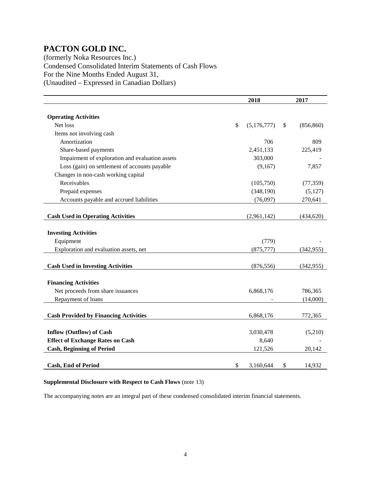(formerly Noka Resources Inc.) Condensed Consolidated Interim Statements of Cash Flows For the Nine Months Ended August 31, (Unaudited – Expressed in Canadian Dollars)

|                                                 | 2018          |             |    | 2017       |  |
|-------------------------------------------------|---------------|-------------|----|------------|--|
|                                                 |               |             |    |            |  |
| <b>Operating Activities</b>                     |               |             |    |            |  |
| Net loss                                        | $\mathsf{\$}$ | (5,176,777) | \$ | (856, 860) |  |
| Items not involving cash                        |               |             |    |            |  |
| Amortization                                    |               | 706         |    | 809        |  |
| Share-based payments                            |               | 2,451,133   |    | 225,419    |  |
| Impairment of exploration and evaluation assets |               | 303,000     |    |            |  |
| Loss (gain) on settlement of accounts payable   |               | (9,167)     |    | 7,857      |  |
| Changes in non-cash working capital             |               |             |    |            |  |
| Receivables                                     |               | (105,750)   |    | (77, 359)  |  |
| Prepaid expenses                                |               | (348, 190)  |    | (5,127)    |  |
| Accounts payable and accrued liabilities        |               | (76,097)    |    | 270,641    |  |
|                                                 |               |             |    |            |  |
| <b>Cash Used in Operating Activities</b>        |               | (2,961,142) |    | (434, 620) |  |
|                                                 |               |             |    |            |  |
| <b>Investing Activities</b>                     |               |             |    |            |  |
| Equipment                                       |               | (779)       |    |            |  |
| Exploration and evaluation assets, net          |               | (875, 777)  |    | (342, 955) |  |
|                                                 |               |             |    |            |  |
| <b>Cash Used in Investing Activities</b>        |               | (876, 556)  |    | (342, 955) |  |
|                                                 |               |             |    |            |  |
| <b>Financing Activities</b>                     |               |             |    |            |  |
| Net proceeds from share issuances               |               | 6,868,176   |    | 786,365    |  |
| Repayment of loans                              |               |             |    | (14,000)   |  |
|                                                 |               |             |    |            |  |
| <b>Cash Provided by Financing Activities</b>    |               | 6,868,176   |    | 772,365    |  |
|                                                 |               |             |    |            |  |
| <b>Inflow (Outflow) of Cash</b>                 |               | 3,030,478   |    | (5,210)    |  |
| <b>Effect of Exchange Rates on Cash</b>         |               | 8,640       |    |            |  |
| <b>Cash, Beginning of Period</b>                |               | 121,526     |    | 20,142     |  |
|                                                 |               |             |    |            |  |
| <b>Cash, End of Period</b>                      | \$            | 3,160,644   | \$ | 14,932     |  |

#### **Supplemental Disclosure with Respect to Cash Flows** (note 13)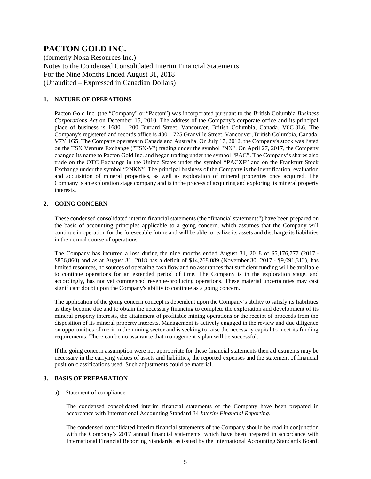(formerly Noka Resources Inc.) Notes to the Condensed Consolidated Interim Financial Statements For the Nine Months Ended August 31, 2018 (Unaudited – Expressed in Canadian Dollars)

#### **1. NATURE OF OPERATIONS**

Pacton Gold Inc. (the "Company" or "Pacton") was incorporated pursuant to the British Columbia *Business Corporations Act* on December 15, 2010. The address of the Company's corporate office and its principal place of business is 1680 – 200 Burrard Street, Vancouver, British Columbia, Canada, V6C 3L6. The Company's registered and records office is 400 – 725 Granville Street, Vancouver, British Columbia, Canada, V7Y 1G5. The Company operates in Canada and Australia. On July 17, 2012, the Company's stock was listed on the TSX Venture Exchange ("TSX-V") trading under the symbol "NX". On April 27, 2017, the Company changed its name to Pacton Gold Inc. and began trading under the symbol "PAC". The Company's shares also trade on the OTC Exchange in the United States under the symbol "PACXF" and on the Frankfurt Stock Exchange under the symbol "2NKN". The principal business of the Company is the identification, evaluation and acquisition of mineral properties, as well as exploration of mineral properties once acquired. The Company is an exploration stage company and is in the process of acquiring and exploring its mineral property interests.

#### **2. GOING CONCERN**

These condensed consolidated interim financial statements (the "financial statements") have been prepared on the basis of accounting principles applicable to a going concern, which assumes that the Company will continue in operation for the foreseeable future and will be able to realize its assets and discharge its liabilities in the normal course of operations.

The Company has incurred a loss during the nine months ended August 31, 2018 of \$5,176,777 (2017 - \$856,860) and as at August 31, 2018 has a deficit of \$14,268,089 (November 30, 2017 - \$9,091,312), has limited resources, no sources of operating cash flow and no assurances that sufficient funding will be available to continue operations for an extended period of time. The Company is in the exploration stage, and accordingly, has not yet commenced revenue-producing operations. These material uncertainties may cast significant doubt upon the Company's ability to continue as a going concern.

The application of the going concern concept is dependent upon the Company's ability to satisfy its liabilities as they become due and to obtain the necessary financing to complete the exploration and development of its mineral property interests, the attainment of profitable mining operations or the receipt of proceeds from the disposition of its mineral property interests. Management is actively engaged in the review and due diligence on opportunities of merit in the mining sector and is seeking to raise the necessary capital to meet its funding requirements. There can be no assurance that management's plan will be successful.

If the going concern assumption were not appropriate for these financial statements then adjustments may be necessary in the carrying values of assets and liabilities, the reported expenses and the statement of financial position classifications used. Such adjustments could be material.

#### **3. BASIS OF PREPARATION**

#### a) Statement of compliance

The condensed consolidated interim financial statements of the Company have been prepared in accordance with International Accounting Standard 34 *Interim Financial Reporting*.

The condensed consolidated interim financial statements of the Company should be read in conjunction with the Company's 2017 annual financial statements, which have been prepared in accordance with International Financial Reporting Standards, as issued by the International Accounting Standards Board.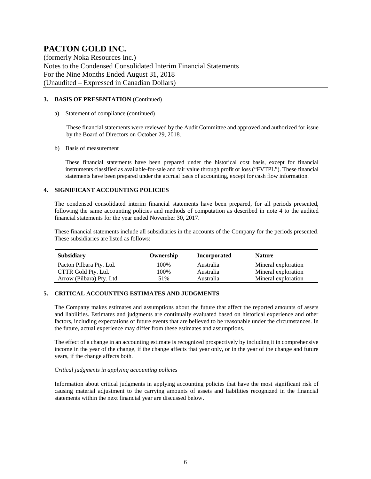(formerly Noka Resources Inc.) Notes to the Condensed Consolidated Interim Financial Statements For the Nine Months Ended August 31, 2018 (Unaudited – Expressed in Canadian Dollars)

#### **3. BASIS OF PRESENTATION** (Continued)

#### a) Statement of compliance (continued)

These financial statements were reviewed by the Audit Committee and approved and authorized for issue by the Board of Directors on October 29, 2018.

#### b) Basis of measurement

These financial statements have been prepared under the historical cost basis, except for financial instruments classified as available-for-sale and fair value through profit or loss ("FVTPL"). These financial statements have been prepared under the accrual basis of accounting, except for cash flow information.

#### **4. SIGNIFICANT ACCOUNTING POLICIES**

The condensed consolidated interim financial statements have been prepared, for all periods presented, following the same accounting policies and methods of computation as described in note 4 to the audited financial statements for the year ended November 30, 2017.

These financial statements include all subsidiaries in the accounts of the Company for the periods presented. These subsidiaries are listed as follows:

| <b>Subsidiary</b>         | Ownership | Incorporated | <b>Nature</b>       |
|---------------------------|-----------|--------------|---------------------|
| Pacton Pilbara Pty. Ltd.  | 100%      | Australia    | Mineral exploration |
| CTTR Gold Pty. Ltd.       | 100%      | Australia    | Mineral exploration |
| Arrow (Pilbara) Pty. Ltd. | 51%       | Australia    | Mineral exploration |

#### **5. CRITICAL ACCOUNTING ESTIMATES AND JUDGMENTS**

The Company makes estimates and assumptions about the future that affect the reported amounts of assets and liabilities. Estimates and judgments are continually evaluated based on historical experience and other factors, including expectations of future events that are believed to be reasonable under the circumstances. In the future, actual experience may differ from these estimates and assumptions.

The effect of a change in an accounting estimate is recognized prospectively by including it in comprehensive income in the year of the change, if the change affects that year only, or in the year of the change and future years, if the change affects both.

#### *Critical judgments in applying accounting policies*

Information about critical judgments in applying accounting policies that have the most significant risk of causing material adjustment to the carrying amounts of assets and liabilities recognized in the financial statements within the next financial year are discussed below.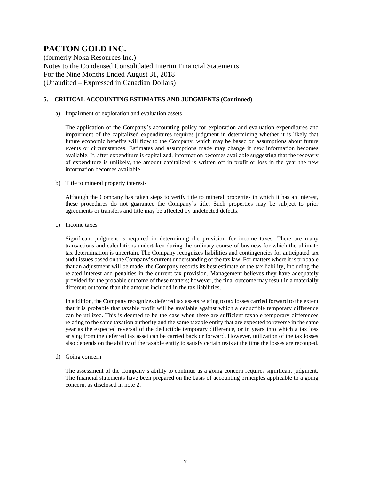(formerly Noka Resources Inc.) Notes to the Condensed Consolidated Interim Financial Statements For the Nine Months Ended August 31, 2018 (Unaudited – Expressed in Canadian Dollars)

#### **5. CRITICAL ACCOUNTING ESTIMATES AND JUDGMENTS (Continued)**

a) Impairment of exploration and evaluation assets

The application of the Company's accounting policy for exploration and evaluation expenditures and impairment of the capitalized expenditures requires judgment in determining whether it is likely that future economic benefits will flow to the Company, which may be based on assumptions about future events or circumstances. Estimates and assumptions made may change if new information becomes available. If, after expenditure is capitalized, information becomes available suggesting that the recovery of expenditure is unlikely, the amount capitalized is written off in profit or loss in the year the new information becomes available.

#### b) Title to mineral property interests

Although the Company has taken steps to verify title to mineral properties in which it has an interest, these procedures do not guarantee the Company's title. Such properties may be subject to prior agreements or transfers and title may be affected by undetected defects.

c) Income taxes

Significant judgment is required in determining the provision for income taxes. There are many transactions and calculations undertaken during the ordinary course of business for which the ultimate tax determination is uncertain. The Company recognizes liabilities and contingencies for anticipated tax audit issues based on the Company's current understanding of the tax law. For matters where it is probable that an adjustment will be made, the Company records its best estimate of the tax liability, including the related interest and penalties in the current tax provision. Management believes they have adequately provided for the probable outcome of these matters; however, the final outcome may result in a materially different outcome than the amount included in the tax liabilities.

In addition, the Company recognizes deferred tax assets relating to tax losses carried forward to the extent that it is probable that taxable profit will be available against which a deductible temporary difference can be utilized. This is deemed to be the case when there are sufficient taxable temporary differences relating to the same taxation authority and the same taxable entity that are expected to reverse in the same year as the expected reversal of the deductible temporary difference, or in years into which a tax loss arising from the deferred tax asset can be carried back or forward. However, utilization of the tax losses also depends on the ability of the taxable entity to satisfy certain tests at the time the losses are recouped.

d) Going concern

The assessment of the Company's ability to continue as a going concern requires significant judgment. The financial statements have been prepared on the basis of accounting principles applicable to a going concern, as disclosed in note 2.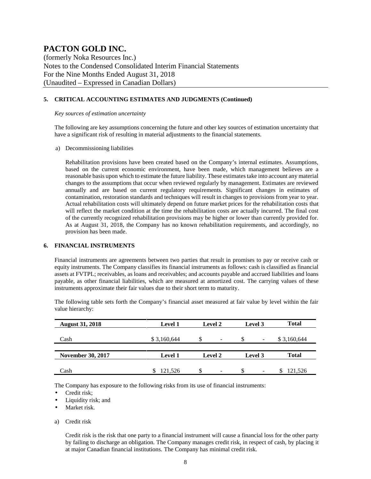(formerly Noka Resources Inc.) Notes to the Condensed Consolidated Interim Financial Statements For the Nine Months Ended August 31, 2018 (Unaudited – Expressed in Canadian Dollars)

#### **5. CRITICAL ACCOUNTING ESTIMATES AND JUDGMENTS (Continued)**

#### *Key sources of estimation uncertainty*

The following are key assumptions concerning the future and other key sources of estimation uncertainty that have a significant risk of resulting in material adjustments to the financial statements.

a) Decommissioning liabilities

Rehabilitation provisions have been created based on the Company's internal estimates. Assumptions, based on the current economic environment, have been made, which management believes are a reasonable basis upon which to estimate the future liability. These estimates take into account any material changes to the assumptions that occur when reviewed regularly by management. Estimates are reviewed annually and are based on current regulatory requirements. Significant changes in estimates of contamination, restoration standards and techniques will result in changes to provisions from year to year. Actual rehabilitation costs will ultimately depend on future market prices for the rehabilitation costs that will reflect the market condition at the time the rehabilitation costs are actually incurred. The final cost of the currently recognized rehabilitation provisions may be higher or lower than currently provided for. As at August 31, 2018, the Company has no known rehabilitation requirements, and accordingly, no provision has been made.

#### **6. FINANCIAL INSTRUMENTS**

Financial instruments are agreements between two parties that result in promises to pay or receive cash or equity instruments. The Company classifies its financial instruments as follows: cash is classified as financial assets at FVTPL; receivables, as loans and receivables; and accounts payable and accrued liabilities and loans payable, as other financial liabilities, which are measured at amortized cost. The carrying values of these instruments approximate their fair values due to their short term to maturity.

The following table sets forth the Company's financial asset measured at fair value by level within the fair value hierarchy:

| <b>August 31, 2018</b>   | <b>Level 1</b> | <b>Level 2</b>                    | Level 3                         | <b>Total</b> |
|--------------------------|----------------|-----------------------------------|---------------------------------|--------------|
| Cash                     | \$3,160,644    | S<br>$\overline{\phantom{a}}$     | \$.<br>$\overline{\phantom{a}}$ | \$3,160,644  |
|                          |                |                                   |                                 |              |
| <b>November 30, 2017</b> | <b>Level 1</b> | <b>Level 2</b>                    | Level 3                         | <b>Total</b> |
| Cash                     | 121.526        | S<br>$\qquad \qquad \blacksquare$ | S<br>$\overline{\phantom{a}}$   | 121.526      |

The Company has exposure to the following risks from its use of financial instruments:

- Credit risk;
- Liquidity risk; and
- Market risk.
- a) Credit risk

Credit risk is the risk that one party to a financial instrument will cause a financial loss for the other party by failing to discharge an obligation. The Company manages credit risk, in respect of cash, by placing it at major Canadian financial institutions. The Company has minimal credit risk.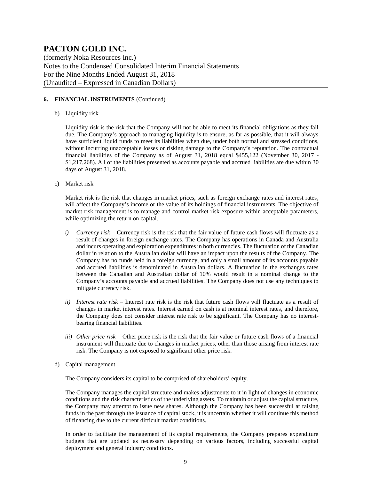(formerly Noka Resources Inc.) Notes to the Condensed Consolidated Interim Financial Statements For the Nine Months Ended August 31, 2018 (Unaudited – Expressed in Canadian Dollars)

#### **6. FINANCIAL INSTRUMENTS** (Continued)

#### b) Liquidity risk

Liquidity risk is the risk that the Company will not be able to meet its financial obligations as they fall due. The Company's approach to managing liquidity is to ensure, as far as possible, that it will always have sufficient liquid funds to meet its liabilities when due, under both normal and stressed conditions, without incurring unacceptable losses or risking damage to the Company's reputation. The contractual financial liabilities of the Company as of August 31, 2018 equal \$455,122 (November 30, 2017 - \$1,217,268). All of the liabilities presented as accounts payable and accrued liabilities are due within 30 days of August 31, 2018.

c) Market risk

Market risk is the risk that changes in market prices, such as foreign exchange rates and interest rates, will affect the Company's income or the value of its holdings of financial instruments. The objective of market risk management is to manage and control market risk exposure within acceptable parameters, while optimizing the return on capital.

- *i) Currency risk* Currency risk is the risk that the fair value of future cash flows will fluctuate as a result of changes in foreign exchange rates. The Company has operations in Canada and Australia and incurs operating and exploration expenditures in both currencies. The fluctuation of the Canadian dollar in relation to the Australian dollar will have an impact upon the results of the Company. The Company has no funds held in a foreign currency, and only a small amount of its accounts payable and accrued liabilities is denominated in Australian dollars. A fluctuation in the exchanges rates between the Canadian and Australian dollar of 10% would result in a nominal change to the Company's accounts payable and accrued liabilities. The Company does not use any techniques to mitigate currency risk.
- *ii) Interest rate risk –* Interest rate risk is the risk that future cash flows will fluctuate as a result of changes in market interest rates. Interest earned on cash is at nominal interest rates, and therefore, the Company does not consider interest rate risk to be significant. The Company has no interestbearing financial liabilities.
- *iii) Other price risk –* Other price risk is the risk that the fair value or future cash flows of a financial instrument will fluctuate due to changes in market prices, other than those arising from interest rate risk. The Company is not exposed to significant other price risk.
- d) Capital management

The Company considers its capital to be comprised of shareholders' equity.

The Company manages the capital structure and makes adjustments to it in light of changes in economic conditions and the risk characteristics of the underlying assets. To maintain or adjust the capital structure, the Company may attempt to issue new shares. Although the Company has been successful at raising funds in the past through the issuance of capital stock, it is uncertain whether it will continue this method of financing due to the current difficult market conditions.

In order to facilitate the management of its capital requirements, the Company prepares expenditure budgets that are updated as necessary depending on various factors, including successful capital deployment and general industry conditions.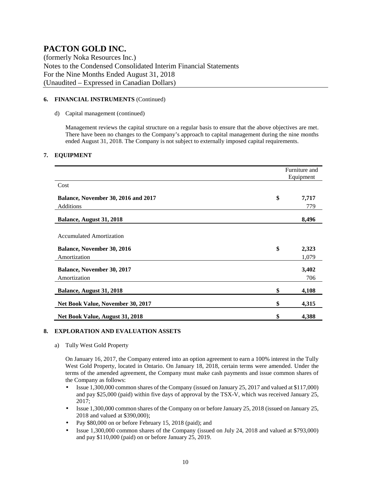(formerly Noka Resources Inc.) Notes to the Condensed Consolidated Interim Financial Statements For the Nine Months Ended August 31, 2018 (Unaudited – Expressed in Canadian Dollars)

#### **6. FINANCIAL INSTRUMENTS** (Continued)

#### d) Capital management (continued)

Management reviews the capital structure on a regular basis to ensure that the above objectives are met. There have been no changes to the Company's approach to capital management during the nine months ended August 31, 2018. The Company is not subject to externally imposed capital requirements.

#### **7. EQUIPMENT**

|                                            | Furniture and<br>Equipment |
|--------------------------------------------|----------------------------|
| Cost                                       |                            |
| <b>Balance, November 30, 2016 and 2017</b> | \$<br>7,717                |
| <b>Additions</b>                           | 779                        |
| Balance, August 31, 2018                   | 8,496                      |
| <b>Accumulated Amortization</b>            |                            |
| <b>Balance, November 30, 2016</b>          | \$<br>2,323                |
| Amortization                               | 1,079                      |
| <b>Balance, November 30, 2017</b>          | 3,402                      |
| Amortization                               | 706                        |
| Balance, August 31, 2018                   | \$<br>4,108                |
| Net Book Value, November 30, 2017          | \$<br>4,315                |
| Net Book Value, August 31, 2018            | \$<br>4,388                |

#### **8. EXPLORATION AND EVALUATION ASSETS**

a) Tully West Gold Property

On January 16, 2017, the Company entered into an option agreement to earn a 100% interest in the Tully West Gold Property, located in Ontario. On January 18, 2018, certain terms were amended. Under the terms of the amended agreement, the Company must make cash payments and issue common shares of the Company as follows:

- Issue 1,300,000 common shares of the Company (issued on January 25, 2017 and valued at \$117,000) and pay \$25,000 (paid) within five days of approval by the TSX-V, which was received January 25, 2017;
- Issue 1,300,000 common shares of the Company on or before January 25, 2018 (issued on January 25, 2018 and valued at \$390,000);
- Pay \$80,000 on or before February 15, 2018 (paid); and
- Issue 1,300,000 common shares of the Company (issued on July 24, 2018 and valued at \$793,000) and pay \$110,000 (paid) on or before January 25, 2019.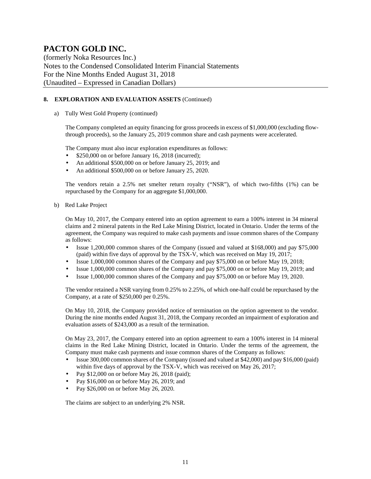(formerly Noka Resources Inc.) Notes to the Condensed Consolidated Interim Financial Statements For the Nine Months Ended August 31, 2018 (Unaudited – Expressed in Canadian Dollars)

#### **8. EXPLORATION AND EVALUATION ASSETS** (Continued)

a) Tully West Gold Property (continued)

The Company completed an equity financing for gross proceeds in excess of \$1,000,000 (excluding flowthrough proceeds), so the January 25, 2019 common share and cash payments were accelerated.

The Company must also incur exploration expenditures as follows:

- \$250,000 on or before January 16, 2018 (incurred);
- An additional \$500,000 on or before January 25, 2019; and
- An additional \$500,000 on or before January 25, 2020.

The vendors retain a 2.5% net smelter return royalty ("NSR"), of which two-fifths (1%) can be repurchased by the Company for an aggregate \$1,000,000.

b) Red Lake Project

On May 10, 2017, the Company entered into an option agreement to earn a 100% interest in 34 mineral claims and 2 mineral patents in the Red Lake Mining District, located in Ontario. Under the terms of the agreement, the Company was required to make cash payments and issue common shares of the Company as follows:

- Issue 1,200,000 common shares of the Company (issued and valued at \$168,000) and pay \$75,000 (paid) within five days of approval by the TSX-V, which was received on May 19, 2017;
- Issue 1,000,000 common shares of the Company and pay \$75,000 on or before May 19, 2018;
- Issue 1,000,000 common shares of the Company and pay \$75,000 on or before May 19, 2019; and
- Issue 1,000,000 common shares of the Company and pay \$75,000 on or before May 19, 2020.

The vendor retained a NSR varying from 0.25% to 2.25%, of which one-half could be repurchased by the Company, at a rate of \$250,000 per 0.25%.

On May 10, 2018, the Company provided notice of termination on the option agreement to the vendor. During the nine months ended August 31, 2018, the Company recorded an impairment of exploration and evaluation assets of \$243,000 as a result of the termination.

On May 23, 2017, the Company entered into an option agreement to earn a 100% interest in 14 mineral claims in the Red Lake Mining District, located in Ontario. Under the terms of the agreement, the Company must make cash payments and issue common shares of the Company as follows:

- Issue 300,000 common shares of the Company (issued and valued at \$42,000) and pay \$16,000 (paid) within five days of approval by the TSX-V, which was received on May 26, 2017;
- Pay \$12,000 on or before May 26, 2018 (paid);
- Pay \$16,000 on or before May 26, 2019; and
- Pay \$26,000 on or before May 26, 2020.

The claims are subject to an underlying 2% NSR.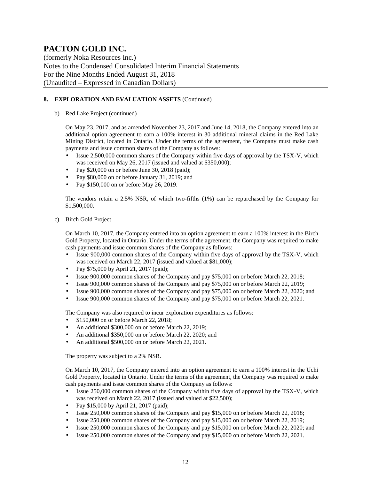(formerly Noka Resources Inc.) Notes to the Condensed Consolidated Interim Financial Statements For the Nine Months Ended August 31, 2018 (Unaudited – Expressed in Canadian Dollars)

#### **8. EXPLORATION AND EVALUATION ASSETS** (Continued)

b) Red Lake Project (continued)

On May 23, 2017, and as amended November 23, 2017 and June 14, 2018, the Company entered into an additional option agreement to earn a 100% interest in 30 additional mineral claims in the Red Lake Mining District, located in Ontario. Under the terms of the agreement, the Company must make cash payments and issue common shares of the Company as follows:

- Issue 2,500,000 common shares of the Company within five days of approval by the TSX-V, which was received on May 26, 2017 (issued and valued at \$350,000);
- Pay \$20,000 on or before June 30, 2018 (paid);
- Pay \$80,000 on or before January 31, 2019; and
- Pay \$150,000 on or before May 26, 2019.

The vendors retain a 2.5% NSR, of which two-fifths (1%) can be repurchased by the Company for \$1,500,000.

c) Birch Gold Project

On March 10, 2017, the Company entered into an option agreement to earn a 100% interest in the Birch Gold Property, located in Ontario. Under the terms of the agreement, the Company was required to make cash payments and issue common shares of the Company as follows:

- Issue 900,000 common shares of the Company within five days of approval by the TSX-V, which was received on March 22, 2017 (issued and valued at \$81,000);
- Pay \$75,000 by April 21, 2017 (paid);
- Issue 900,000 common shares of the Company and pay \$75,000 on or before March 22, 2018;
- Issue 900,000 common shares of the Company and pay \$75,000 on or before March 22, 2019;
- Issue 900,000 common shares of the Company and pay \$75,000 on or before March 22, 2020; and
- Issue 900,000 common shares of the Company and pay \$75,000 on or before March 22, 2021.

The Company was also required to incur exploration expenditures as follows:

- \$150,000 on or before March 22, 2018;
- An additional \$300,000 on or before March 22, 2019;
- An additional \$350,000 on or before March 22, 2020; and
- An additional \$500,000 on or before March 22, 2021.

The property was subject to a 2% NSR.

On March 10, 2017, the Company entered into an option agreement to earn a 100% interest in the Uchi Gold Property, located in Ontario. Under the terms of the agreement, the Company was required to make cash payments and issue common shares of the Company as follows:

- Issue 250,000 common shares of the Company within five days of approval by the TSX-V, which was received on March 22, 2017 (issued and valued at \$22,500);
- Pay \$15,000 by April 21, 2017 (paid);
- Issue 250,000 common shares of the Company and pay \$15,000 on or before March 22, 2018;
- Issue 250,000 common shares of the Company and pay \$15,000 on or before March 22, 2019;
- Issue 250,000 common shares of the Company and pay \$15,000 on or before March 22, 2020; and
- Issue 250,000 common shares of the Company and pay \$15,000 on or before March 22, 2021.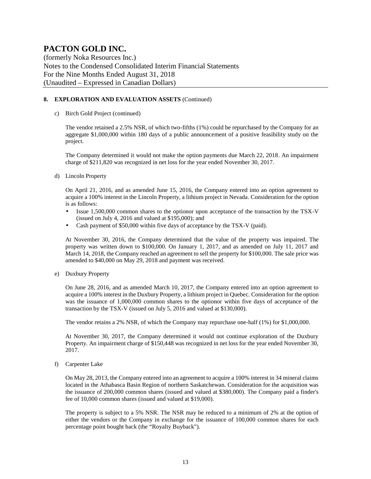(formerly Noka Resources Inc.) Notes to the Condensed Consolidated Interim Financial Statements For the Nine Months Ended August 31, 2018 (Unaudited – Expressed in Canadian Dollars)

#### **8. EXPLORATION AND EVALUATION ASSETS** (Continued)

c) Birch Gold Project (continued)

The vendor retained a 2.5% NSR, of which two-fifths (1%) could be repurchased by the Company for an aggregate \$1,000,000 within 180 days of a public announcement of a positive feasibility study on the project.

The Company determined it would not make the option payments due March 22, 2018. An impairment charge of \$211,820 was recognized in net loss for the year ended November 30, 2017.

d) Lincoln Property

On April 21, 2016, and as amended June 15, 2016, the Company entered into an option agreement to acquire a 100% interest in the Lincoln Property, a lithium project in Nevada. Consideration for the option is as follows:

- Issue 1,500,000 common shares to the optionor upon acceptance of the transaction by the TSX-V (issued on July 4, 2016 and valued at \$195,000); and
- Cash payment of \$50,000 within five days of acceptance by the TSX-V (paid).

At November 30, 2016, the Company determined that the value of the property was impaired. The property was written down to \$100,000. On January 1, 2017, and as amended on July 11, 2017 and March 14, 2018, the Company reached an agreement to sell the property for \$100,000. The sale price was amended to \$40,000 on May 29, 2018 and payment was received.

e) Duxbury Property

On June 28, 2016, and as amended March 10, 2017, the Company entered into an option agreement to acquire a 100% interest in the Duxbury Property, a lithium project in Quebec. Consideration for the option was the issuance of 1,000,000 common shares to the optionor within five days of acceptance of the transaction by the TSX-V (issued on July 5, 2016 and valued at \$130,000).

The vendor retains a 2% NSR, of which the Company may repurchase one-half (1%) for \$1,000,000.

At November 30, 2017, the Company determined it would not continue exploration of the Duxbury Property. An impairment charge of \$150,448 was recognized in net loss for the year ended November 30, 2017.

f) Carpenter Lake

On May 28, 2013, the Company entered into an agreement to acquire a 100% interest in 34 mineral claims located in the Athabasca Basin Region of northern Saskatchewan. Consideration for the acquisition was the issuance of 200,000 common shares (issued and valued at \$380,000). The Company paid a finder's fee of 10,000 common shares (issued and valued at \$19,000).

The property is subject to a 5% NSR. The NSR may be reduced to a minimum of 2% at the option of either the vendors or the Company in exchange for the issuance of 100,000 common shares for each percentage point bought back (the "Royalty Buyback").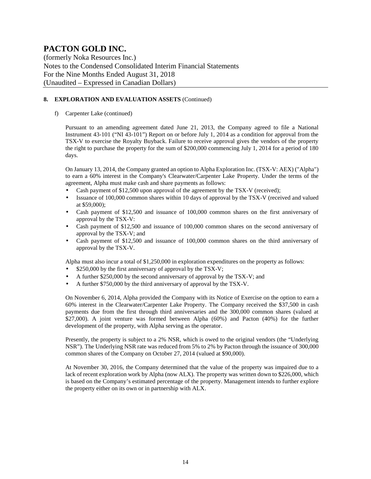(formerly Noka Resources Inc.) Notes to the Condensed Consolidated Interim Financial Statements For the Nine Months Ended August 31, 2018 (Unaudited – Expressed in Canadian Dollars)

#### **8. EXPLORATION AND EVALUATION ASSETS** (Continued)

f) Carpenter Lake (continued)

Pursuant to an amending agreement dated June 21, 2013, the Company agreed to file a National Instrument 43-101 ("NI 43-101") Report on or before July 1, 2014 as a condition for approval from the TSX-V to exercise the Royalty Buyback. Failure to receive approval gives the vendors of the property the right to purchase the property for the sum of \$200,000 commencing July 1, 2014 for a period of 180 days.

On January 13, 2014, the Company granted an option to Alpha Exploration Inc. (TSX-V: AEX) ("Alpha") to earn a 60% interest in the Company's Clearwater/Carpenter Lake Property. Under the terms of the agreement, Alpha must make cash and share payments as follows:

- Cash payment of \$12,500 upon approval of the agreement by the TSX-V (received);
- Issuance of 100,000 common shares within 10 days of approval by the TSX-V (received and valued at \$59,000);
- Cash payment of \$12,500 and issuance of 100,000 common shares on the first anniversary of approval by the TSX-V:
- Cash payment of \$12,500 and issuance of 100,000 common shares on the second anniversary of approval by the TSX-V; and
- Cash payment of \$12,500 and issuance of 100,000 common shares on the third anniversary of approval by the TSX-V.

Alpha must also incur a total of \$1,250,000 in exploration expenditures on the property as follows:

- \$250,000 by the first anniversary of approval by the TSX-V;
- A further \$250,000 by the second anniversary of approval by the TSX-V; and
- A further \$750,000 by the third anniversary of approval by the TSX-V.

On November 6, 2014, Alpha provided the Company with its Notice of Exercise on the option to earn a 60% interest in the Clearwater/Carpenter Lake Property. The Company received the \$37,500 in cash payments due from the first through third anniversaries and the 300,000 common shares (valued at \$27,000). A joint venture was formed between Alpha (60%) and Pacton (40%) for the further development of the property, with Alpha serving as the operator.

Presently, the property is subject to a 2% NSR, which is owed to the original vendors (the "Underlying NSR"). The Underlying NSR rate was reduced from 5% to 2% by Pacton through the issuance of 300,000 common shares of the Company on October 27, 2014 (valued at \$90,000).

At November 30, 2016, the Company determined that the value of the property was impaired due to a lack of recent exploration work by Alpha (now ALX). The property was written down to \$226,000, which is based on the Company's estimated percentage of the property. Management intends to further explore the property either on its own or in partnership with ALX.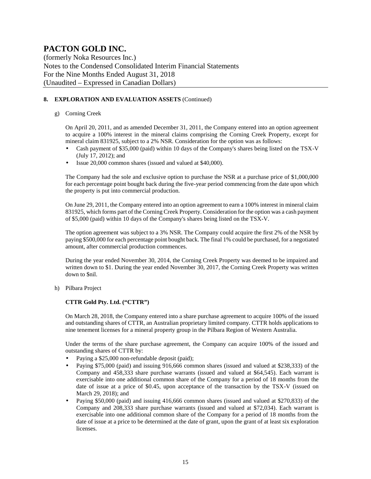(formerly Noka Resources Inc.) Notes to the Condensed Consolidated Interim Financial Statements For the Nine Months Ended August 31, 2018 (Unaudited – Expressed in Canadian Dollars)

#### **8. EXPLORATION AND EVALUATION ASSETS** (Continued)

#### g) Corning Creek

On April 20, 2011, and as amended December 31, 2011, the Company entered into an option agreement to acquire a 100% interest in the mineral claims comprising the Corning Creek Property, except for mineral claim 831925, subject to a 2% NSR. Consideration for the option was as follows:

- Cash payment of \$35,000 (paid) within 10 days of the Company's shares being listed on the TSX-V (July 17, 2012); and
- Issue 20,000 common shares (issued and valued at \$40,000).

The Company had the sole and exclusive option to purchase the NSR at a purchase price of \$1,000,000 for each percentage point bought back during the five-year period commencing from the date upon which the property is put into commercial production.

On June 29, 2011, the Company entered into an option agreement to earn a 100% interest in mineral claim 831925, which forms part of the Corning Creek Property. Consideration for the option was a cash payment of \$5,000 (paid) within 10 days of the Company's shares being listed on the TSX-V.

The option agreement was subject to a 3% NSR. The Company could acquire the first 2% of the NSR by paying \$500,000 for each percentage point bought back. The final 1% could be purchased, for a negotiated amount, after commercial production commences.

During the year ended November 30, 2014, the Corning Creek Property was deemed to be impaired and written down to \$1. During the year ended November 30, 2017, the Corning Creek Property was written down to \$nil.

h) Pilbara Project

#### **CTTR Gold Pty. Ltd. ("CTTR")**

On March 28, 2018, the Company entered into a share purchase agreement to acquire 100% of the issued and outstanding shares of CTTR, an Australian proprietary limited company. CTTR holds applications to nine tenement licenses for a mineral property group in the Pilbara Region of Western Australia.

Under the terms of the share purchase agreement, the Company can acquire 100% of the issued and outstanding shares of CTTR by:

- Paying a \$25,000 non-refundable deposit (paid);
- Paying \$75,000 (paid) and issuing 916,666 common shares (issued and valued at \$238,333) of the Company and 458,333 share purchase warrants (issued and valued at \$64,545). Each warrant is exercisable into one additional common share of the Company for a period of 18 months from the date of issue at a price of \$0.45, upon acceptance of the transaction by the TSX-V (issued on March 29, 2018); and
- Paying \$50,000 (paid) and issuing 416,666 common shares (issued and valued at \$270,833) of the Company and 208,333 share purchase warrants (issued and valued at \$72,034). Each warrant is exercisable into one additional common share of the Company for a period of 18 months from the date of issue at a price to be determined at the date of grant, upon the grant of at least six exploration licenses.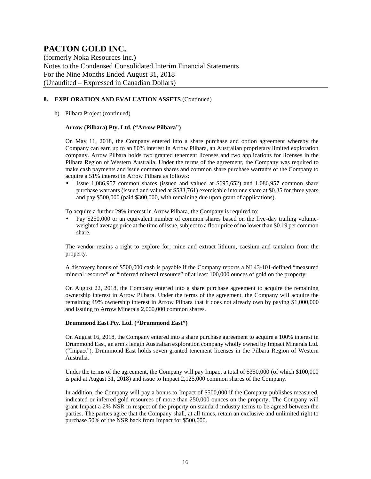(formerly Noka Resources Inc.) Notes to the Condensed Consolidated Interim Financial Statements For the Nine Months Ended August 31, 2018 (Unaudited – Expressed in Canadian Dollars)

#### **8. EXPLORATION AND EVALUATION ASSETS** (Continued)

h) Pilbara Project (continued)

#### **Arrow (Pilbara) Pty. Ltd. ("Arrow Pilbara")**

On May 11, 2018, the Company entered into a share purchase and option agreement whereby the Company can earn up to an 80% interest in Arrow Pilbara, an Australian proprietary limited exploration company. Arrow Pilbara holds two granted tenement licenses and two applications for licenses in the Pilbara Region of Western Australia. Under the terms of the agreement, the Company was required to make cash payments and issue common shares and common share purchase warrants of the Company to acquire a 51% interest in Arrow Pilbara as follows:

• Issue 1,086,957 common shares (issued and valued at \$695,652) and 1,086,957 common share purchase warrants (issued and valued at \$583,761) exercisable into one share at \$0.35 for three years and pay \$500,000 (paid \$300,000, with remaining due upon grant of applications).

To acquire a further 29% interest in Arrow Pilbara, the Company is required to:

• Pay \$250,000 or an equivalent number of common shares based on the five-day trailing volumeweighted average price at the time of issue, subject to a floor price of no lower than \$0.19 per common share.

The vendor retains a right to explore for, mine and extract lithium, caesium and tantalum from the property.

A discovery bonus of \$500,000 cash is payable if the Company reports a NI 43-101-defined "measured mineral resource" or "inferred mineral resource" of at least 100,000 ounces of gold on the property.

On August 22, 2018, the Company entered into a share purchase agreement to acquire the remaining ownership interest in Arrow Pilbara. Under the terms of the agreement, the Company will acquire the remaining 49% ownership interest in Arrow Pilbara that it does not already own by paying \$1,000,000 and issuing to Arrow Minerals 2,000,000 common shares.

#### **Drummond East Pty. Ltd. ("Drummond East")**

On August 16, 2018, the Company entered into a share purchase agreement to acquire a 100% interest in Drummond East, an arm's length Australian exploration company wholly owned by Impact Minerals Ltd. ("Impact"). Drummond East holds seven granted tenement licenses in the Pilbara Region of Western Australia.

Under the terms of the agreement, the Company will pay Impact a total of \$350,000 (of which \$100,000) is paid at August 31, 2018) and issue to Impact 2,125,000 common shares of the Company.

In addition, the Company will pay a bonus to Impact of \$500,000 if the Company publishes measured, indicated or inferred gold resources of more than 250,000 ounces on the property. The Company will grant Impact a 2% NSR in respect of the property on standard industry terms to be agreed between the parties. The parties agree that the Company shall, at all times, retain an exclusive and unlimited right to purchase 50% of the NSR back from Impact for \$500,000.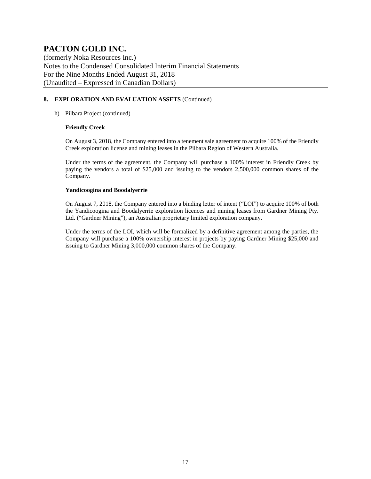(formerly Noka Resources Inc.) Notes to the Condensed Consolidated Interim Financial Statements For the Nine Months Ended August 31, 2018 (Unaudited – Expressed in Canadian Dollars)

#### **8. EXPLORATION AND EVALUATION ASSETS** (Continued)

#### h) Pilbara Project (continued)

#### **Friendly Creek**

On August 3, 2018, the Company entered into a tenement sale agreement to acquire 100% of the Friendly Creek exploration license and mining leases in the Pilbara Region of Western Australia.

Under the terms of the agreement, the Company will purchase a 100% interest in Friendly Creek by paying the vendors a total of \$25,000 and issuing to the vendors 2,500,000 common shares of the Company.

#### **Yandicoogina and Boodalyerrie**

On August 7, 2018, the Company entered into a binding letter of intent ("LOI") to acquire 100% of both the Yandicoogina and Boodalyerrie exploration licences and mining leases from Gardner Mining Pty. Ltd. ("Gardner Mining"), an Australian proprietary limited exploration company.

Under the terms of the LOI, which will be formalized by a definitive agreement among the parties, the Company will purchase a 100% ownership interest in projects by paying Gardner Mining \$25,000 and issuing to Gardner Mining 3,000,000 common shares of the Company.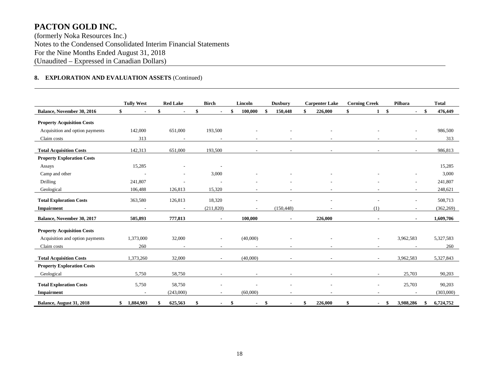(formerly Noka Resources Inc.) Notes to the Condensed Consolidated Interim Financial Statements For the Nine Months Ended August 31, 2018 (Unaudited – Expressed in Canadian Dollars)

#### **8. EXPLORATION AND EVALUATION ASSETS** (Continued)

|                                   | <b>Tully West</b>        | <b>Red Lake</b>          | <b>Birch</b> | Lincoln                  | <b>Duxbury</b>           | <b>Carpenter Lake</b> | <b>Corning Creek</b> | Pilbara                         | <b>Total</b>    |
|-----------------------------------|--------------------------|--------------------------|--------------|--------------------------|--------------------------|-----------------------|----------------------|---------------------------------|-----------------|
| Balance, November 30, 2016        |                          | \$                       |              | 100,000                  | 150,448                  | 226,000               | \$                   | $\mathbf{\$}$<br>$\blacksquare$ | 476,449<br>-\$  |
| <b>Property Acquisition Costs</b> |                          |                          |              |                          |                          |                       |                      |                                 |                 |
| Acquisition and option payments   | 142,000                  | 651,000                  | 193,500      |                          |                          |                       |                      |                                 | 986,500         |
| Claim costs                       | 313                      | $\overline{\phantom{a}}$ |              | $\overline{\phantom{a}}$ | ٠                        |                       |                      |                                 | 313             |
| <b>Total Acquisition Costs</b>    | 142,313                  | 651,000                  | 193,500      |                          |                          |                       |                      | $\sim$                          | 986,813         |
| <b>Property Exploration Costs</b> |                          |                          |              |                          |                          |                       |                      |                                 |                 |
| Assays                            | 15,285                   |                          |              |                          |                          |                       |                      |                                 | 15,285          |
| Camp and other                    |                          |                          | 3,000        |                          |                          |                       |                      |                                 | 3,000           |
| Drilling                          | 241,807                  |                          |              |                          |                          |                       |                      |                                 | 241,807         |
| Geological                        | 106,488                  | 126,813                  | 15,320       |                          |                          |                       |                      |                                 | 248,621         |
| <b>Total Exploration Costs</b>    | 363,580                  | 126,813                  | 18,320       |                          |                          |                       |                      |                                 | 508,713         |
| <b>Impairment</b>                 | $\overline{\phantom{a}}$ | $\overline{\phantom{a}}$ | (211, 820)   | $\overline{\phantom{a}}$ | (150, 448)               |                       | (1)                  |                                 | (362, 269)      |
| <b>Balance, November 30, 2017</b> | 505,893                  | 777,813                  |              | 100,000                  | $\blacksquare$           | 226,000               |                      |                                 | 1,609,706       |
| <b>Property Acquisition Costs</b> |                          |                          |              |                          |                          |                       |                      |                                 |                 |
| Acquisition and option payments   | 1,373,000                | 32,000                   |              | (40,000)                 |                          |                       |                      | 3,962,583                       | 5,327,583       |
| Claim costs                       | 260                      |                          |              |                          |                          |                       |                      |                                 | 260             |
|                                   |                          |                          |              |                          |                          |                       |                      |                                 |                 |
| <b>Total Acquisition Costs</b>    | 1,373,260                | 32,000                   |              | (40,000)                 | $\overline{\phantom{a}}$ |                       |                      | 3,962,583                       | 5,327,843       |
| <b>Property Exploration Costs</b> |                          |                          |              |                          |                          |                       |                      |                                 |                 |
| Geological                        | 5,750                    | 58,750                   |              |                          |                          |                       |                      | 25,703                          | 90,203          |
| <b>Total Exploration Costs</b>    | 5,750                    | 58,750                   |              |                          |                          |                       |                      | 25,703                          | 90,203          |
| <b>Impairment</b>                 |                          | (243,000)                |              | (60,000)                 |                          |                       |                      |                                 | (303,000)       |
| Balance, August 31, 2018          | 1,884,903<br>\$          | 625,563                  |              | \$                       | \$                       | 226,000               | \$<br>$\blacksquare$ | 3,988,286<br>-\$                | 6,724,752<br>\$ |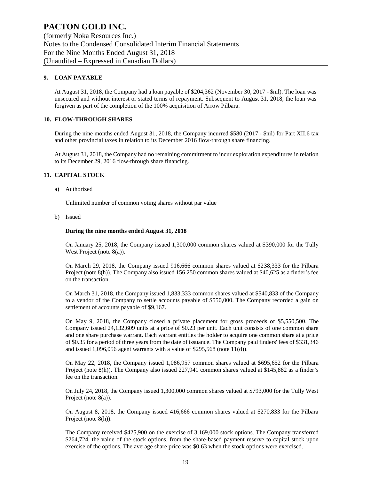(formerly Noka Resources Inc.) Notes to the Condensed Consolidated Interim Financial Statements For the Nine Months Ended August 31, 2018 (Unaudited – Expressed in Canadian Dollars)

#### **9. LOAN PAYABLE**

At August 31, 2018, the Company had a loan payable of \$204,362 (November 30, 2017 - \$nil). The loan was unsecured and without interest or stated terms of repayment. Subsequent to August 31, 2018, the loan was forgiven as part of the completion of the 100% acquisition of Arrow Pilbara.

#### **10. FLOW-THROUGH SHARES**

During the nine months ended August 31, 2018, the Company incurred \$580 (2017 - \$nil) for Part XII.6 tax and other provincial taxes in relation to its December 2016 flow-through share financing.

At August 31, 2018, the Company had no remaining commitment to incur exploration expenditures in relation to its December 29, 2016 flow-through share financing.

#### **11. CAPITAL STOCK**

a) Authorized

Unlimited number of common voting shares without par value

b) Issued

#### **During the nine months ended August 31, 2018**

On January 25, 2018, the Company issued 1,300,000 common shares valued at \$390,000 for the Tully West Project (note 8(a)).

On March 29, 2018, the Company issued 916,666 common shares valued at \$238,333 for the Pilbara Project (note 8(h)). The Company also issued 156,250 common shares valued at \$40,625 as a finder's fee on the transaction.

On March 31, 2018, the Company issued 1,833,333 common shares valued at \$540,833 of the Company to a vendor of the Company to settle accounts payable of \$550,000. The Company recorded a gain on settlement of accounts payable of \$9,167.

On May 9, 2018, the Company closed a private placement for gross proceeds of \$5,550,500. The Company issued 24,132,609 units at a price of \$0.23 per unit. Each unit consists of one common share and one share purchase warrant. Each warrant entitles the holder to acquire one common share at a price of \$0.35 for a period of three years from the date of issuance. The Company paid finders' fees of \$331,346 and issued 1,096,056 agent warrants with a value of \$295,568 (note 11(d)).

On May 22, 2018, the Company issued 1,086,957 common shares valued at \$695,652 for the Pilbara Project (note 8(h)). The Company also issued 227,941 common shares valued at \$145,882 as a finder's fee on the transaction.

On July 24, 2018, the Company issued 1,300,000 common shares valued at \$793,000 for the Tully West Project (note 8(a)).

On August 8, 2018, the Company issued 416,666 common shares valued at \$270,833 for the Pilbara Project (note 8(h)).

The Company received \$425,900 on the exercise of 3,169,000 stock options. The Company transferred \$264,724, the value of the stock options, from the share-based payment reserve to capital stock upon exercise of the options. The average share price was \$0.63 when the stock options were exercised.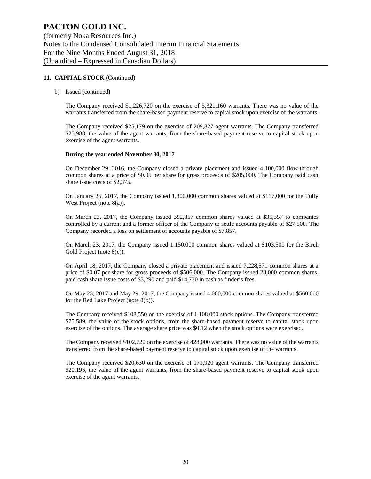#### **11. CAPITAL STOCK** (Continued)

b) Issued (continued)

The Company received \$1,226,720 on the exercise of 5,321,160 warrants. There was no value of the warrants transferred from the share-based payment reserve to capital stock upon exercise of the warrants.

The Company received \$25,179 on the exercise of 209,827 agent warrants. The Company transferred \$25,988, the value of the agent warrants, from the share-based payment reserve to capital stock upon exercise of the agent warrants.

#### **During the year ended November 30, 2017**

On December 29, 2016, the Company closed a private placement and issued 4,100,000 flow-through common shares at a price of \$0.05 per share for gross proceeds of \$205,000. The Company paid cash share issue costs of \$2,375.

On January 25, 2017, the Company issued 1,300,000 common shares valued at \$117,000 for the Tully West Project (note 8(a)).

On March 23, 2017, the Company issued 392,857 common shares valued at \$35,357 to companies controlled by a current and a former officer of the Company to settle accounts payable of \$27,500. The Company recorded a loss on settlement of accounts payable of \$7,857.

On March 23, 2017, the Company issued 1,150,000 common shares valued at \$103,500 for the Birch Gold Project (note 8(c)).

On April 18, 2017, the Company closed a private placement and issued 7,228,571 common shares at a price of \$0.07 per share for gross proceeds of \$506,000. The Company issued 28,000 common shares, paid cash share issue costs of \$3,290 and paid \$14,770 in cash as finder's fees.

On May 23, 2017 and May 29, 2017, the Company issued 4,000,000 common shares valued at \$560,000 for the Red Lake Project (note 8(b)).

The Company received \$108,550 on the exercise of 1,108,000 stock options. The Company transferred \$75,589, the value of the stock options, from the share-based payment reserve to capital stock upon exercise of the options. The average share price was \$0.12 when the stock options were exercised.

The Company received \$102,720 on the exercise of 428,000 warrants. There was no value of the warrants transferred from the share-based payment reserve to capital stock upon exercise of the warrants.

The Company received \$20,630 on the exercise of 171,920 agent warrants. The Company transferred \$20,195, the value of the agent warrants, from the share-based payment reserve to capital stock upon exercise of the agent warrants.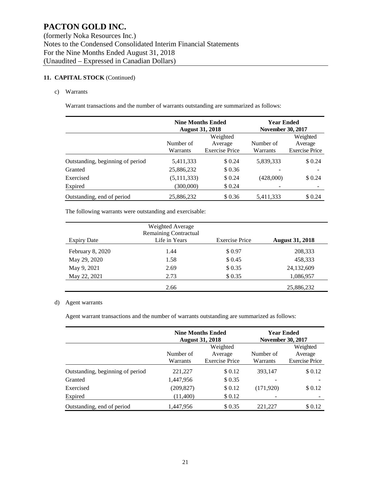#### **11. CAPITAL STOCK** (Continued)

#### c) Warrants

Warrant transactions and the number of warrants outstanding are summarized as follows:

|                                  | <b>Nine Months Ended</b><br><b>August 31, 2018</b> |                                              | <b>Year Ended</b><br><b>November 30, 2017</b> |                                              |
|----------------------------------|----------------------------------------------------|----------------------------------------------|-----------------------------------------------|----------------------------------------------|
|                                  | Number of<br>Warrants                              | Weighted<br>Average<br><b>Exercise Price</b> | Number of<br>Warrants                         | Weighted<br>Average<br><b>Exercise Price</b> |
| Outstanding, beginning of period | 5,411,333                                          | \$ 0.24                                      | 5,839,333                                     | \$0.24                                       |
| Granted                          | 25,886,232                                         | \$0.36                                       |                                               |                                              |
| Exercised                        | (5, 111, 333)                                      | \$0.24                                       | (428,000)                                     | \$0.24                                       |
| Expired                          | (300,000)                                          | \$0.24                                       |                                               |                                              |
| Outstanding, end of period       | 25,886,232                                         | \$0.36                                       | 5,411,333                                     | \$ 0.24                                      |

The following warrants were outstanding and exercisable:

| <b>Expiry Date</b> | Weighted Average<br><b>Remaining Contractual</b><br>Life in Years | <b>Exercise Price</b> | <b>August 31, 2018</b> |
|--------------------|-------------------------------------------------------------------|-----------------------|------------------------|
| February 8, 2020   | 1.44                                                              | \$0.97                | 208,333                |
| May 29, 2020       | 1.58                                                              | \$ 0.45               | 458,333                |
| May 9, 2021        | 2.69                                                              | \$0.35                | 24,132,609             |
| May 22, 2021       | 2.73                                                              | \$0.35                | 1,086,957              |
|                    | 2.66                                                              |                       | 25,886,232             |

#### d) Agent warrants

Agent warrant transactions and the number of warrants outstanding are summarized as follows:

|                                  |                       | <b>Nine Months Ended</b><br><b>August 31, 2018</b> | <b>Year Ended</b>     | <b>November 30, 2017</b>                     |
|----------------------------------|-----------------------|----------------------------------------------------|-----------------------|----------------------------------------------|
|                                  | Number of<br>Warrants | Weighted<br>Average<br><b>Exercise Price</b>       | Number of<br>Warrants | Weighted<br>Average<br><b>Exercise Price</b> |
| Outstanding, beginning of period | 221,227               | \$0.12                                             | 393.147               | \$0.12                                       |
| Granted                          | 1,447,956             | \$0.35                                             |                       |                                              |
| Exercised                        | (209, 827)            | \$0.12                                             | (171,920)             | \$0.12                                       |
| Expired                          | (11,400)              | \$0.12                                             |                       |                                              |
| Outstanding, end of period       | 1,447,956             | \$0.35                                             | 221,227               | \$0.12                                       |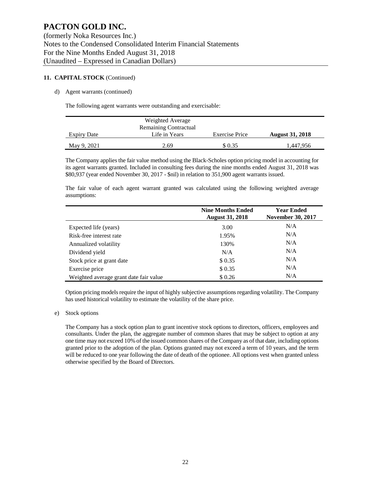#### **11. CAPITAL STOCK** (Continued)

#### d) Agent warrants (continued)

The following agent warrants were outstanding and exercisable:

|                    | Weighted Average             |                |                        |
|--------------------|------------------------------|----------------|------------------------|
|                    | <b>Remaining Contractual</b> |                |                        |
| <b>Expiry Date</b> | Life in Years                | Exercise Price | <b>August 31, 2018</b> |
| May 9, 2021        | 2.69                         | \$ 0.35        | 1,447,956              |

The Company applies the fair value method using the Black-Scholes option pricing model in accounting for its agent warrants granted. Included in consulting fees during the nine months ended August 31, 2018 was \$80,937 (year ended November 30, 2017 - \$nil) in relation to 351,900 agent warrants issued.

The fair value of each agent warrant granted was calculated using the following weighted average assumptions:

|                                        | <b>Nine Months Ended</b><br><b>August 31, 2018</b> | <b>Year Ended</b><br><b>November 30, 2017</b> |  |  |
|----------------------------------------|----------------------------------------------------|-----------------------------------------------|--|--|
| Expected life (years)                  | 3.00                                               | N/A                                           |  |  |
| Risk-free interest rate                | 1.95%                                              | N/A                                           |  |  |
| Annualized volatility                  | 130%                                               | N/A                                           |  |  |
| Dividend yield                         | N/A                                                | N/A                                           |  |  |
| Stock price at grant date              | \$0.35                                             | N/A                                           |  |  |
| Exercise price                         | \$0.35                                             | N/A                                           |  |  |
| Weighted average grant date fair value | \$0.26                                             | N/A                                           |  |  |

Option pricing models require the input of highly subjective assumptions regarding volatility. The Company has used historical volatility to estimate the volatility of the share price.

#### e) Stock options

The Company has a stock option plan to grant incentive stock options to directors, officers, employees and consultants. Under the plan, the aggregate number of common shares that may be subject to option at any one time may not exceed 10% of the issued common shares of the Company as of that date, including options granted prior to the adoption of the plan. Options granted may not exceed a term of 10 years, and the term will be reduced to one year following the date of death of the optionee. All options vest when granted unless otherwise specified by the Board of Directors.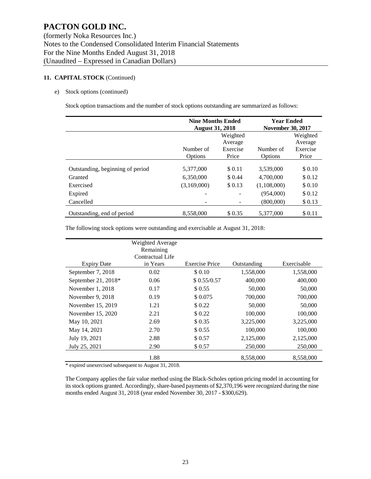#### **11. CAPITAL STOCK** (Continued)

#### e) Stock options (continued)

Stock option transactions and the number of stock options outstanding are summarized as follows:

|                                  | <b>Nine Months Ended</b><br><b>August 31, 2018</b> |          | <b>Year Ended</b><br><b>November 30, 2017</b> |          |
|----------------------------------|----------------------------------------------------|----------|-----------------------------------------------|----------|
|                                  | Weighted                                           |          |                                               | Weighted |
|                                  |                                                    | Average  |                                               | Average  |
|                                  | Number of                                          | Exercise | Number of                                     | Exercise |
|                                  | Price<br>Options                                   |          | Options                                       | Price    |
| Outstanding, beginning of period | 5,377,000                                          | \$0.11   | 3,539,000                                     | \$0.10   |
| Granted                          | 6,350,000                                          | \$ 0.44  | 4,700,000                                     | \$0.12   |
| Exercised                        | (3,169,000)                                        | \$0.13   | (1,108,000)                                   | \$0.10   |
| Expired                          |                                                    |          | (954,000)                                     | \$0.12   |
| Cancelled                        |                                                    |          | (800,000)                                     | \$0.13   |
| Outstanding, end of period       | 8,558,000                                          | \$0.35   | 5,377,000                                     | \$0.11   |

The following stock options were outstanding and exercisable at August 31, 2018:

|                       | Weighted Average<br>Remaining<br>Contractual Life |                       |             |             |
|-----------------------|---------------------------------------------------|-----------------------|-------------|-------------|
| <b>Expiry Date</b>    | in Years                                          | <b>Exercise Price</b> | Outstanding | Exercisable |
| September 7, 2018     | 0.02                                              | \$0.10                | 1,558,000   | 1,558,000   |
| September 21, $2018*$ | 0.06                                              | \$0.55/0.57           | 400,000     | 400,000     |
| November $1, 2018$    | 0.17                                              | \$ 0.55               | 50,000      | 50,000      |
| November 9, 2018      | 0.19                                              | \$0.075               | 700,000     | 700,000     |
| November 15, 2019     | 1.21                                              | \$0.22                | 50,000      | 50,000      |
| November 15, 2020     | 2.21                                              | \$0.22                | 100,000     | 100,000     |
| May 10, 2021          | 2.69                                              | \$0.35                | 3,225,000   | 3,225,000   |
| May 14, 2021          | 2.70                                              | \$0.55                | 100,000     | 100,000     |
| July 19, 2021         | 2.88                                              | \$ 0.57               | 2,125,000   | 2,125,000   |
| July 25, 2021         | 2.90                                              | \$0.57                | 250,000     | 250,000     |
|                       | 1.88                                              |                       | 8.558.000   | 8,558,000   |

\* expired unexercised subsequent to August 31, 2018.

The Company applies the fair value method using the Black-Scholes option pricing model in accounting for its stock options granted. Accordingly, share-based payments of \$2,370,196 were recognized during the nine months ended August 31, 2018 (year ended November 30, 2017 - \$300,629).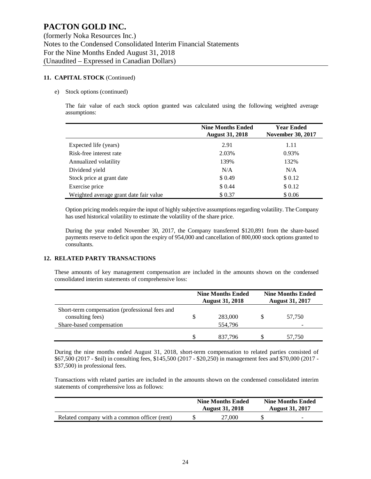#### **11. CAPITAL STOCK** (Continued)

#### e) Stock options (continued)

The fair value of each stock option granted was calculated using the following weighted average assumptions:

|                                        | <b>Nine Months Ended</b><br><b>August 31, 2018</b> | <b>Year Ended</b><br><b>November 30, 2017</b> |  |  |
|----------------------------------------|----------------------------------------------------|-----------------------------------------------|--|--|
| Expected life (years)                  | 2.91                                               | 1.11                                          |  |  |
| Risk-free interest rate                | 2.03%                                              | 0.93%                                         |  |  |
| Annualized volatility                  | 139%                                               | 132%                                          |  |  |
| Dividend yield                         | N/A                                                | N/A                                           |  |  |
| Stock price at grant date              | \$0.49                                             | \$0.12                                        |  |  |
| Exercise price                         | \$ 0.44                                            | \$0.12                                        |  |  |
| Weighted average grant date fair value | \$0.37                                             | \$0.06                                        |  |  |

Option pricing models require the input of highly subjective assumptions regarding volatility. The Company has used historical volatility to estimate the volatility of the share price.

During the year ended November 30, 2017, the Company transferred \$120,891 from the share-based payments reserve to deficit upon the expiry of 954,000 and cancellation of 800,000 stock options granted to consultants.

#### **12. RELATED PARTY TRANSACTIONS**

These amounts of key management compensation are included in the amounts shown on the condensed consolidated interim statements of comprehensive loss:

|                                                                                                | <b>Nine Months Ended</b><br><b>August 31, 2018</b> | <b>Nine Months Ended</b><br><b>August 31, 2017</b> |
|------------------------------------------------------------------------------------------------|----------------------------------------------------|----------------------------------------------------|
| Short-term compensation (professional fees and<br>consulting fees)<br>Share-based compensation | 283,000<br>554.796                                 | 57.750                                             |
|                                                                                                | 837.796                                            | 57.750                                             |

During the nine months ended August 31, 2018, short-term compensation to related parties consisted of \$67,500 (2017 - \$nil) in consulting fees, \$145,500 (2017 - \$20,250) in management fees and \$70,000 (2017 - \$37,500) in professional fees.

Transactions with related parties are included in the amounts shown on the condensed consolidated interim statements of comprehensive loss as follows:

|                                              | <b>Nine Months Ended</b><br><b>August 31, 2018</b> | <b>Nine Months Ended</b><br><b>August 31, 2017</b> |   |  |
|----------------------------------------------|----------------------------------------------------|----------------------------------------------------|---|--|
| Related company with a common officer (rent) | 27,000                                             |                                                    | - |  |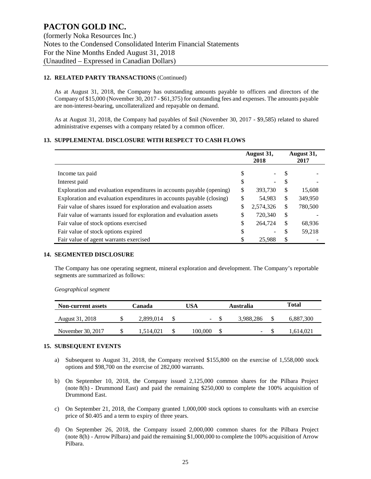#### **12. RELATED PARTY TRANSACTIONS** (Continued)

As at August 31, 2018, the Company has outstanding amounts payable to officers and directors of the Company of \$15,000 (November 30, 2017 - \$61,375) for outstanding fees and expenses. The amounts payable are non-interest-bearing, uncollateralized and repayable on demand.

As at August 31, 2018, the Company had payables of \$nil (November 30, 2017 - \$9,585) related to shared administrative expenses with a company related by a common officer.

#### **13. SUPPLEMENTAL DISCLOSURE WITH RESPECT TO CASH FLOWS**

|                                                                       | August 31,<br>2018 | August 31,<br>2017 |         |
|-----------------------------------------------------------------------|--------------------|--------------------|---------|
| Income tax paid                                                       | \$                 | \$.                |         |
| Interest paid                                                         | \$                 | S                  |         |
| Exploration and evaluation expenditures in accounts payable (opening) | \$<br>393,730      | S                  | 15,608  |
| Exploration and evaluation expenditures in accounts payable (closing) | \$<br>54,983       | \$                 | 349,950 |
| Fair value of shares issued for exploration and evaluation assets     | \$<br>2,574,326    | \$                 | 780,500 |
| Fair value of warrants issued for exploration and evaluation assets   | \$<br>720,340      | \$                 |         |
| Fair value of stock options exercised                                 | \$<br>264,724      | S                  | 68,936  |
| Fair value of stock options expired                                   | \$                 | \$                 | 59,218  |
| Fair value of agent warrants exercised                                | 25,988             | \$                 |         |

#### **14. SEGMENTED DISCLOSURE**

The Company has one operating segment, mineral exploration and development. The Company's reportable segments are summarized as follows:

*Geographical segment*

| <b>Non-current assets</b> | Canada    | USA |         | Australia |           | Total |           |
|---------------------------|-----------|-----|---------|-----------|-----------|-------|-----------|
| August 31, 2018           | 2.899.014 |     | ۰.      |           | 3.988.286 |       | 6,887,300 |
| November 30, 2017         | .514.021  |     | 100.000 |           | -         |       | 1.614.021 |

#### **15. SUBSEQUENT EVENTS**

- a) Subsequent to August 31, 2018, the Company received \$155,800 on the exercise of 1,558,000 stock options and \$98,700 on the exercise of 282,000 warrants.
- b) On September 10, 2018, the Company issued 2,125,000 common shares for the Pilbara Project (note 8(h) - Drummond East) and paid the remaining \$250,000 to complete the 100% acquisition of Drummond East.
- c) On September 21, 2018, the Company granted 1,000,000 stock options to consultants with an exercise price of \$0.405 and a term to expiry of three years.
- d) On September 26, 2018, the Company issued 2,000,000 common shares for the Pilbara Project (note 8(h) - Arrow Pilbara) and paid the remaining \$1,000,000 to complete the 100% acquisition of Arrow Pilbara.